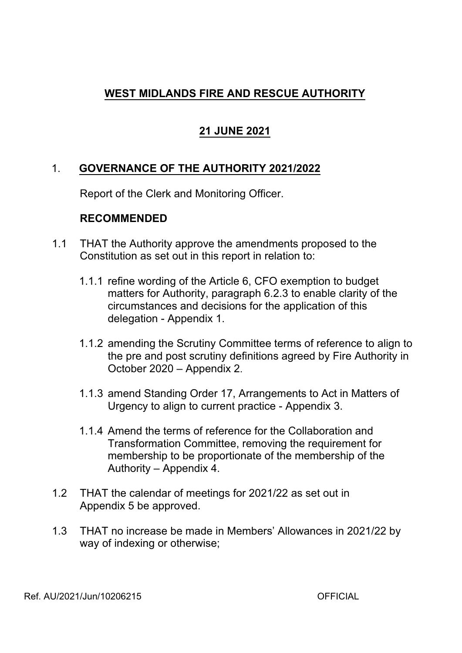# **WEST MIDLANDS FIRE AND RESCUE AUTHORITY**

# **21 JUNE 2021**

# 1. **GOVERNANCE OF THE AUTHORITY 2021/2022**

Report of the Clerk and Monitoring Officer.

## **RECOMMENDED**

- 1.1 THAT the Authority approve the amendments proposed to the Constitution as set out in this report in relation to:
	- 1.1.1 refine wording of the Article 6, CFO exemption to budget matters for Authority, paragraph 6.2.3 to enable clarity of the circumstances and decisions for the application of this delegation - Appendix 1.
	- 1.1.2 amending the Scrutiny Committee terms of reference to align to the pre and post scrutiny definitions agreed by Fire Authority in October 2020 – Appendix 2.
	- 1.1.3 amend Standing Order 17, Arrangements to Act in Matters of Urgency to align to current practice Appendix 3.
	- 1.1.4 Amend the terms of reference for the Collaboration and Transformation Committee, removing the requirement for membership to be proportionate of the membership of the Authority – Appendix 4.
- 1.2 THAT the calendar of meetings for 2021/22 as set out in Appendix 5 be approved.
- 1.3 THAT no increase be made in Members' Allowances in 2021/22 by way of indexing or otherwise;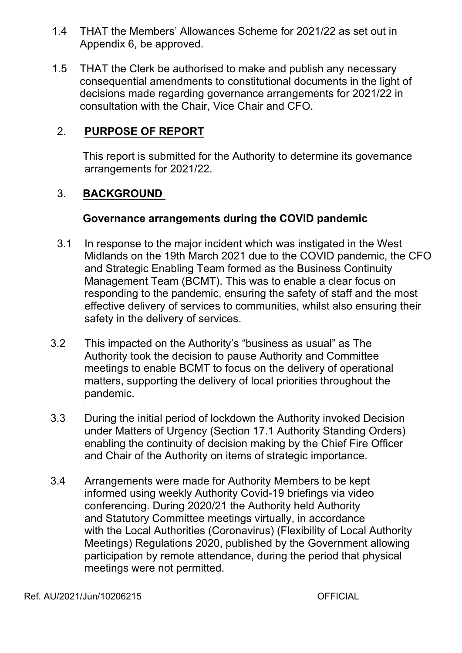- 1.4 THAT the Members' Allowances Scheme for 2021/22 as set out in Appendix 6, be approved.
- 1.5 THAT the Clerk be authorised to make and publish any necessary consequential amendments to constitutional documents in the light of decisions made regarding governance arrangements for 2021/22 in consultation with the Chair, Vice Chair and CFO.

## 2. **PURPOSE OF REPORT**

This report is submitted for the Authority to determine its governance arrangements for 2021/22.

## 3. **BACKGROUND**

### **Governance arrangements during the COVID pandemic**

- 3.1 In response to the major incident which was instigated in the West Midlands on the 19th March 2021 due to the COVID pandemic, the CFO and Strategic Enabling Team formed as the Business Continuity Management Team (BCMT). This was to enable a clear focus on responding to the pandemic, ensuring the safety of staff and the most effective delivery of services to communities, whilst also ensuring their safety in the delivery of services.
- 3.2 This impacted on the Authority's "business as usual" as The Authority took the decision to pause Authority and Committee meetings to enable BCMT to focus on the delivery of operational matters, supporting the delivery of local priorities throughout the pandemic.
- 3.3 During the initial period of lockdown the Authority invoked Decision under Matters of Urgency (Section 17.1 Authority Standing Orders) enabling the continuity of decision making by the Chief Fire Officer and Chair of the Authority on items of strategic importance.
- 3.4 Arrangements were made for Authority Members to be kept informed using weekly Authority Covid-19 briefings via video conferencing. During 2020/21 the Authority held Authority and Statutory Committee meetings virtually, in accordance with the Local Authorities (Coronavirus) (Flexibility of Local Authority Meetings) Regulations 2020, published by the Government allowing participation by remote attendance, during the period that physical meetings were not permitted.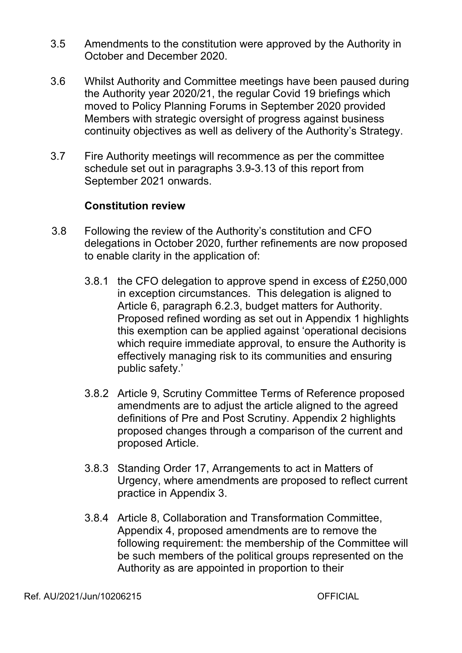- 3.5 Amendments to the constitution were approved by the Authority in October and December 2020.
- 3.6 Whilst Authority and Committee meetings have been paused during the Authority year 2020/21, the regular Covid 19 briefings which moved to Policy Planning Forums in September 2020 provided Members with strategic oversight of progress against business continuity objectives as well as delivery of the Authority's Strategy.
- 3.7 Fire Authority meetings will recommence as per the committee schedule set out in paragraphs 3.9-3.13 of this report from September 2021 onwards.

## **Constitution review**

- 3.8 Following the review of the Authority's constitution and CFO delegations in October 2020, further refinements are now proposed to enable clarity in the application of:
	- 3.8.1 the CFO delegation to approve spend in excess of £250,000 in exception circumstances. This delegation is aligned to Article 6, paragraph 6.2.3, budget matters for Authority. Proposed refined wording as set out in Appendix 1 highlights this exemption can be applied against 'operational decisions which require immediate approval, to ensure the Authority is effectively managing risk to its communities and ensuring public safety.'
	- 3.8.2 Article 9, Scrutiny Committee Terms of Reference proposed amendments are to adjust the article aligned to the agreed definitions of Pre and Post Scrutiny. Appendix 2 highlights proposed changes through a comparison of the current and proposed Article.
	- 3.8.3 Standing Order 17, Arrangements to act in Matters of Urgency, where amendments are proposed to reflect current practice in Appendix 3.
	- 3.8.4 Article 8, Collaboration and Transformation Committee, Appendix 4, proposed amendments are to remove the following requirement: the membership of the Committee will be such members of the political groups represented on the Authority as are appointed in proportion to their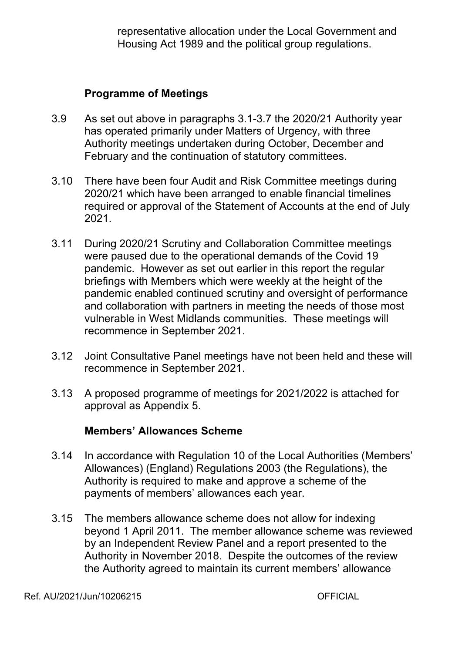representative allocation under the Local Government and Housing Act 1989 and the political group regulations.

### **Programme of Meetings**

- 3.9 As set out above in paragraphs 3.1-3.7 the 2020/21 Authority year has operated primarily under Matters of Urgency, with three Authority meetings undertaken during October, December and February and the continuation of statutory committees.
- 3.10 There have been four Audit and Risk Committee meetings during 2020/21 which have been arranged to enable financial timelines required or approval of the Statement of Accounts at the end of July 2021.
- 3.11 During 2020/21 Scrutiny and Collaboration Committee meetings were paused due to the operational demands of the Covid 19 pandemic. However as set out earlier in this report the regular briefings with Members which were weekly at the height of the pandemic enabled continued scrutiny and oversight of performance and collaboration with partners in meeting the needs of those most vulnerable in West Midlands communities. These meetings will recommence in September 2021.
- 3.12 Joint Consultative Panel meetings have not been held and these will recommence in September 2021.
- 3.13 A proposed programme of meetings for 2021/2022 is attached for approval as Appendix 5.

### **Members' Allowances Scheme**

- 3.14 In accordance with Regulation 10 of the Local Authorities (Members' Allowances) (England) Regulations 2003 (the Regulations), the Authority is required to make and approve a scheme of the payments of members' allowances each year.
- 3.15 The members allowance scheme does not allow for indexing beyond 1 April 2011. The member allowance scheme was reviewed by an Independent Review Panel and a report presented to the Authority in November 2018. Despite the outcomes of the review the Authority agreed to maintain its current members' allowance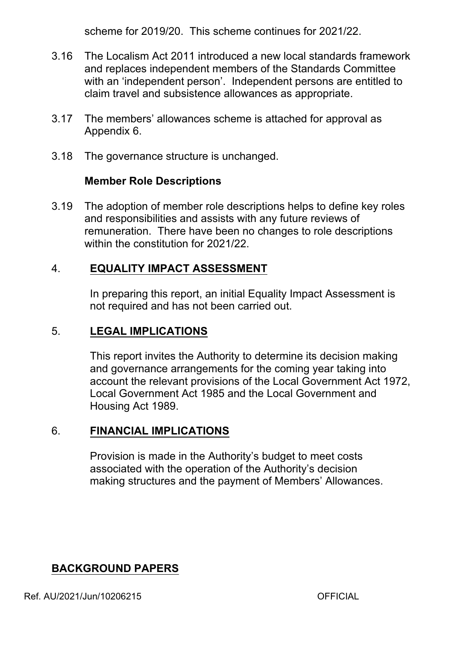scheme for 2019/20. This scheme continues for 2021/22.

- 3.16 The Localism Act 2011 introduced a new local standards framework and replaces independent members of the Standards Committee with an 'independent person'. Independent persons are entitled to claim travel and subsistence allowances as appropriate.
- 3.17 The members' allowances scheme is attached for approval as Appendix 6.
- 3.18 The governance structure is unchanged.

## **Member Role Descriptions**

3.19 The adoption of member role descriptions helps to define key roles and responsibilities and assists with any future reviews of remuneration. There have been no changes to role descriptions within the constitution for 2021/22

# 4. **EQUALITY IMPACT ASSESSMENT**

In preparing this report, an initial Equality Impact Assessment is not required and has not been carried out.

# 5. **LEGAL IMPLICATIONS**

This report invites the Authority to determine its decision making and governance arrangements for the coming year taking into account the relevant provisions of the Local Government Act 1972, Local Government Act 1985 and the Local Government and Housing Act 1989.

# 6. **FINANCIAL IMPLICATIONS**

Provision is made in the Authority's budget to meet costs associated with the operation of the Authority's decision making structures and the payment of Members' Allowances.

# **BACKGROUND PAPERS**

Ref. AU/2021/Jun/10206215 OFFICIAL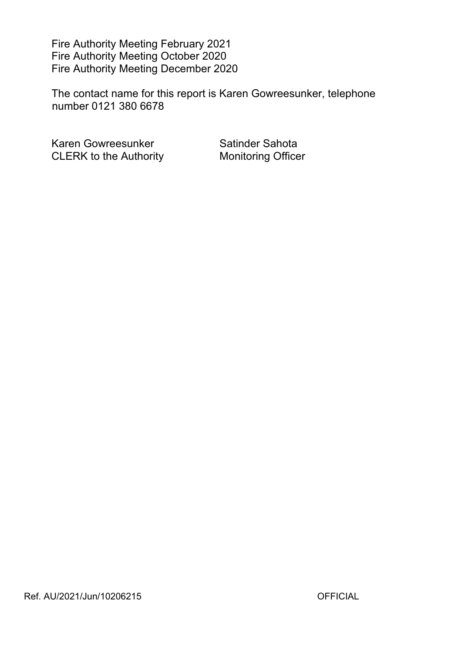Fire Authority Meeting February 2021 Fire Authority Meeting October 2020 Fire Authority Meeting December 2020

The contact name for this report is Karen Gowreesunker, telephone number 0121 380 6678

Karen Gowreesunker Satinder Sahota CLERK to the Authority **Monitoring Officer**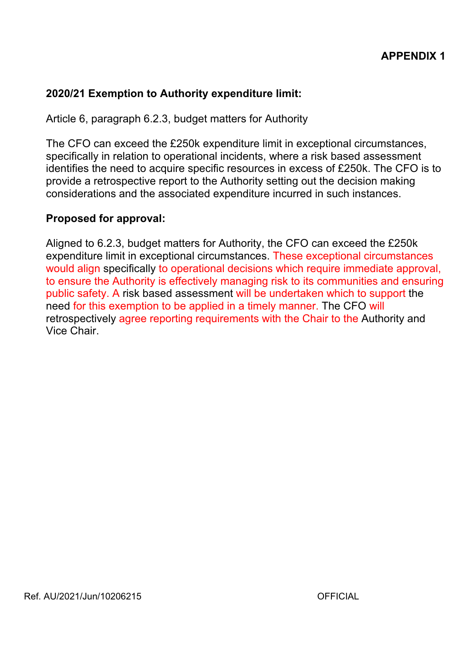## **2020/21 Exemption to Authority expenditure limit:**

Article 6, paragraph 6.2.3, budget matters for Authority

The CFO can exceed the £250k expenditure limit in exceptional circumstances, specifically in relation to operational incidents, where a risk based assessment identifies the need to acquire specific resources in excess of £250k. The CFO is to provide a retrospective report to the Authority setting out the decision making considerations and the associated expenditure incurred in such instances.

### **Proposed for approval:**

Aligned to 6.2.3, budget matters for Authority, the CFO can exceed the £250k expenditure limit in exceptional circumstances. These exceptional circumstances would align specifically to operational decisions which require immediate approval, to ensure the Authority is effectively managing risk to its communities and ensuring public safety. A risk based assessment will be undertaken which to support the need for this exemption to be applied in a timely manner. The CFO will retrospectively agree reporting requirements with the Chair to the Authority and Vice Chair.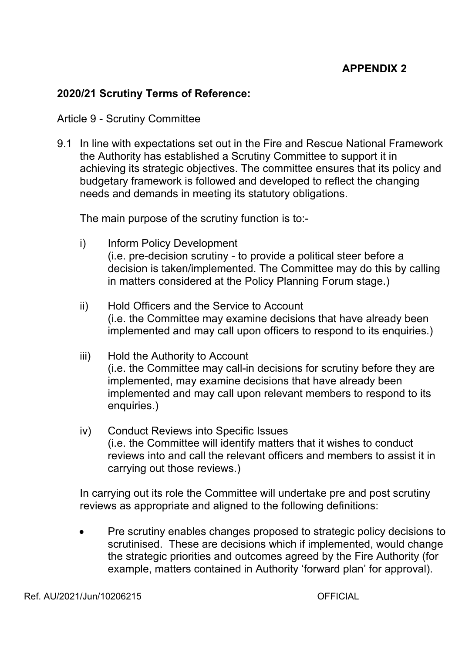## **APPENDIX 2**

## **2020/21 Scrutiny Terms of Reference:**

#### Article 9 - Scrutiny Committee

9.1 In line with expectations set out in the Fire and Rescue National Framework the Authority has established a Scrutiny Committee to support it in achieving its strategic objectives. The committee ensures that its policy and budgetary framework is followed and developed to reflect the changing needs and demands in meeting its statutory obligations.

The main purpose of the scrutiny function is to:

- i) Inform Policy Development (i.e. pre-decision scrutiny - to provide a political steer before a decision is taken/implemented. The Committee may do this by calling in matters considered at the Policy Planning Forum stage.)
- ii) Hold Officers and the Service to Account (i.e. the Committee may examine decisions that have already been implemented and may call upon officers to respond to its enquiries.)
- iii) Hold the Authority to Account (i.e. the Committee may call-in decisions for scrutiny before they are implemented, may examine decisions that have already been implemented and may call upon relevant members to respond to its enquiries.)
- iv) Conduct Reviews into Specific Issues (i.e. the Committee will identify matters that it wishes to conduct reviews into and call the relevant officers and members to assist it in carrying out those reviews.)

In carrying out its role the Committee will undertake pre and post scrutiny reviews as appropriate and aligned to the following definitions:

 Pre scrutiny enables changes proposed to strategic policy decisions to scrutinised. These are decisions which if implemented, would change the strategic priorities and outcomes agreed by the Fire Authority (for example, matters contained in Authority 'forward plan' for approval).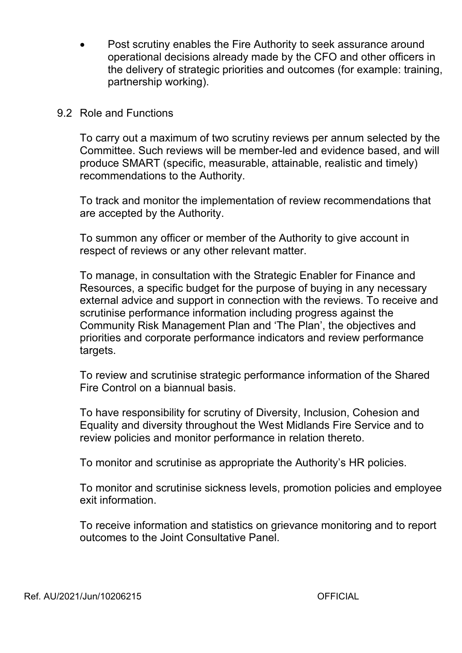Post scrutiny enables the Fire Authority to seek assurance around operational decisions already made by the CFO and other officers in the delivery of strategic priorities and outcomes (for example: training, partnership working).

### 9.2 Role and Functions

To carry out a maximum of two scrutiny reviews per annum selected by the Committee. Such reviews will be member-led and evidence based, and will produce SMART (specific, measurable, attainable, realistic and timely) recommendations to the Authority.

To track and monitor the implementation of review recommendations that are accepted by the Authority.

To summon any officer or member of the Authority to give account in respect of reviews or any other relevant matter.

To manage, in consultation with the Strategic Enabler for Finance and Resources, a specific budget for the purpose of buying in any necessary external advice and support in connection with the reviews. To receive and scrutinise performance information including progress against the Community Risk Management Plan and 'The Plan', the objectives and priorities and corporate performance indicators and review performance targets.

To review and scrutinise strategic performance information of the Shared Fire Control on a biannual basis.

To have responsibility for scrutiny of Diversity, Inclusion, Cohesion and Equality and diversity throughout the West Midlands Fire Service and to review policies and monitor performance in relation thereto.

To monitor and scrutinise as appropriate the Authority's HR policies.

To monitor and scrutinise sickness levels, promotion policies and employee exit information.

To receive information and statistics on grievance monitoring and to report outcomes to the Joint Consultative Panel.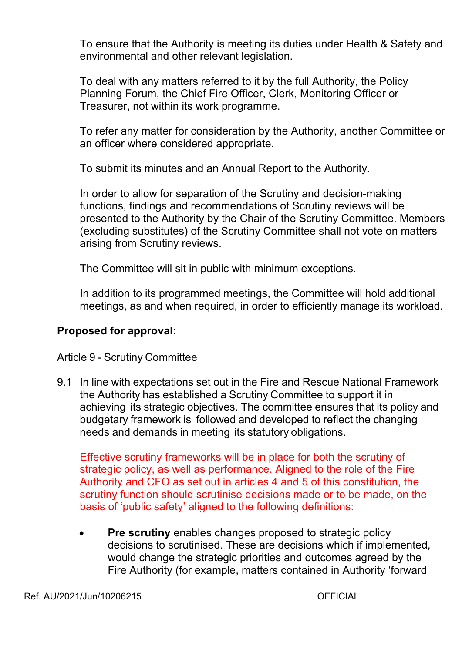To ensure that the Authority is meeting its duties under Health & Safety and environmental and other relevant legislation.

To deal with any matters referred to it by the full Authority, the Policy Planning Forum, the Chief Fire Officer, Clerk, Monitoring Officer or Treasurer, not within its work programme.

To refer any matter for consideration by the Authority, another Committee or an officer where considered appropriate.

To submit its minutes and an Annual Report to the Authority.

In order to allow for separation of the Scrutiny and decision-making functions, findings and recommendations of Scrutiny reviews will be presented to the Authority by the Chair of the Scrutiny Committee. Members (excluding substitutes) of the Scrutiny Committee shall not vote on matters arising from Scrutiny reviews.

The Committee will sit in public with minimum exceptions.

In addition to its programmed meetings, the Committee will hold additional meetings, as and when required, in order to efficiently manage its workload.

## **Proposed for approval:**

Article 9 - Scrutiny Committee

9.1 In line with expectations set out in the Fire and Rescue National Framework the Authority has established a Scrutiny Committee to support it in achieving its strategic objectives. The committee ensures that its policy and budgetary framework is followed and developed to reflect the changing needs and demands in meeting its statutory obligations.

Effective scrutiny frameworks will be in place for both the scrutiny of strategic policy, as well as performance. Aligned to the role of the Fire Authority and CFO as set out in articles 4 and 5 of this constitution, the scrutiny function should scrutinise decisions made or to be made, on the basis of 'public safety' aligned to the following definitions:

 **Pre scrutiny** enables changes proposed to strategic policy decisions to scrutinised. These are decisions which if implemented, would change the strategic priorities and outcomes agreed by the Fire Authority (for example, matters contained in Authority 'forward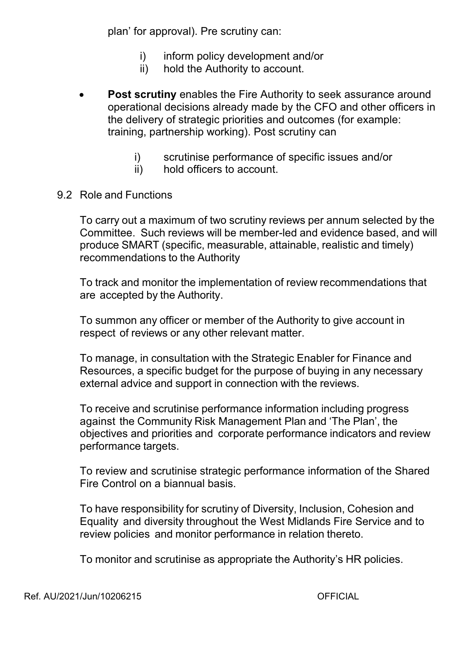plan' for approval). Pre scrutiny can:

- i) inform policy development and/or
- ii) hold the Authority to account.
- **Post scrutiny** enables the Fire Authority to seek assurance around operational decisions already made by the CFO and other officers in the delivery of strategic priorities and outcomes (for example: training, partnership working). Post scrutiny can
	- i) scrutinise performance of specific issues and/or
	- ii) hold officers to account.
- 9.2 Role and Functions

To carry out a maximum of two scrutiny reviews per annum selected by the Committee. Such reviews will be member-led and evidence based, and will produce SMART (specific, measurable, attainable, realistic and timely) recommendations to the Authority

To track and monitor the implementation of review recommendations that are accepted by the Authority.

To summon any officer or member of the Authority to give account in respect of reviews or any other relevant matter.

To manage, in consultation with the Strategic Enabler for Finance and Resources, a specific budget for the purpose of buying in any necessary external advice and support in connection with the reviews.

To receive and scrutinise performance information including progress against the Community Risk Management Plan and 'The Plan', the objectives and priorities and corporate performance indicators and review performance targets.

To review and scrutinise strategic performance information of the Shared Fire Control on a biannual basis.

To have responsibility for scrutiny of Diversity, Inclusion, Cohesion and Equality and diversity throughout the West Midlands Fire Service and to review policies and monitor performance in relation thereto.

To monitor and scrutinise as appropriate the Authority's HR policies.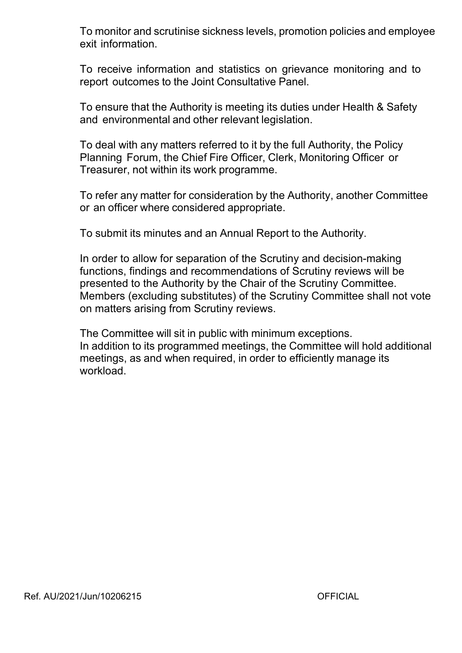To monitor and scrutinise sickness levels, promotion policies and employee exit information.

To receive information and statistics on grievance monitoring and to report outcomes to the Joint Consultative Panel.

To ensure that the Authority is meeting its duties under Health & Safety and environmental and other relevant legislation.

To deal with any matters referred to it by the full Authority, the Policy Planning Forum, the Chief Fire Officer, Clerk, Monitoring Officer or Treasurer, not within its work programme.

To refer any matter for consideration by the Authority, another Committee or an officer where considered appropriate.

To submit its minutes and an Annual Report to the Authority.

In order to allow for separation of the Scrutiny and decision-making functions, findings and recommendations of Scrutiny reviews will be presented to the Authority by the Chair of the Scrutiny Committee. Members (excluding substitutes) of the Scrutiny Committee shall not vote on matters arising from Scrutiny reviews.

The Committee will sit in public with minimum exceptions. In addition to its programmed meetings, the Committee will hold additional meetings, as and when required, in order to efficiently manage its workload.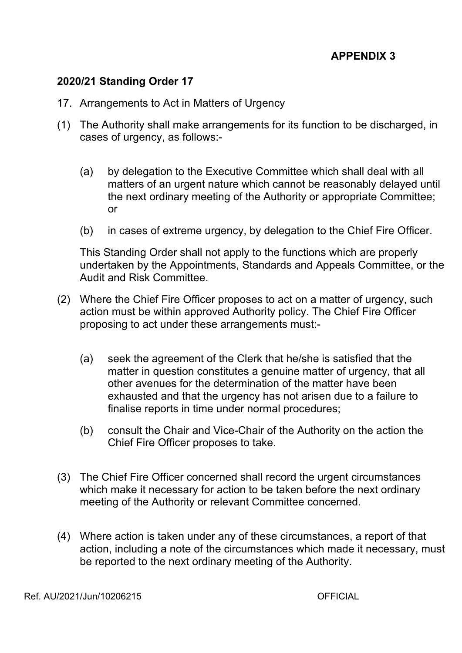### **2020/21 Standing Order 17**

- 17. Arrangements to Act in Matters of Urgency
- (1) The Authority shall make arrangements for its function to be discharged, in cases of urgency, as follows:
	- (a) by delegation to the Executive Committee which shall deal with all matters of an urgent nature which cannot be reasonably delayed until the next ordinary meeting of the Authority or appropriate Committee; or
	- (b) in cases of extreme urgency, by delegation to the Chief Fire Officer.

This Standing Order shall not apply to the functions which are properly undertaken by the Appointments, Standards and Appeals Committee, or the Audit and Risk Committee.

- (2) Where the Chief Fire Officer proposes to act on a matter of urgency, such action must be within approved Authority policy. The Chief Fire Officer proposing to act under these arrangements must:
	- (a) seek the agreement of the Clerk that he/she is satisfied that the matter in question constitutes a genuine matter of urgency, that all other avenues for the determination of the matter have been exhausted and that the urgency has not arisen due to a failure to finalise reports in time under normal procedures;
	- (b) consult the Chair and Vice-Chair of the Authority on the action the Chief Fire Officer proposes to take.
- (3) The Chief Fire Officer concerned shall record the urgent circumstances which make it necessary for action to be taken before the next ordinary meeting of the Authority or relevant Committee concerned.
- (4) Where action is taken under any of these circumstances, a report of that action, including a note of the circumstances which made it necessary, must be reported to the next ordinary meeting of the Authority.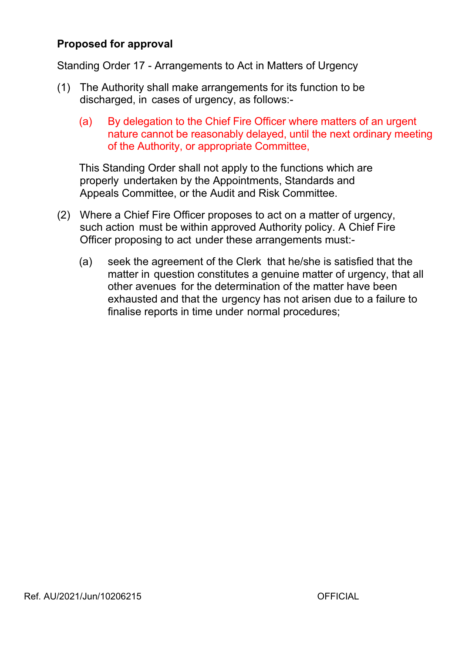## **Proposed for approval**

Standing Order 17 - Arrangements to Act in Matters of Urgency

- (1) The Authority shall make arrangements for its function to be discharged, in cases of urgency, as follows:
	- (a) By delegation to the Chief Fire Officer where matters of an urgent nature cannot be reasonably delayed, until the next ordinary meeting of the Authority, or appropriate Committee,

This Standing Order shall not apply to the functions which are properly undertaken by the Appointments, Standards and Appeals Committee, or the Audit and Risk Committee.

- (2) Where a Chief Fire Officer proposes to act on a matter of urgency, such action must be within approved Authority policy. A Chief Fire Officer proposing to act under these arrangements must:
	- (a) seek the agreement of the Clerk that he/she is satisfied that the matter in question constitutes a genuine matter of urgency, that all other avenues for the determination of the matter have been exhausted and that the urgency has not arisen due to a failure to finalise reports in time under normal procedures;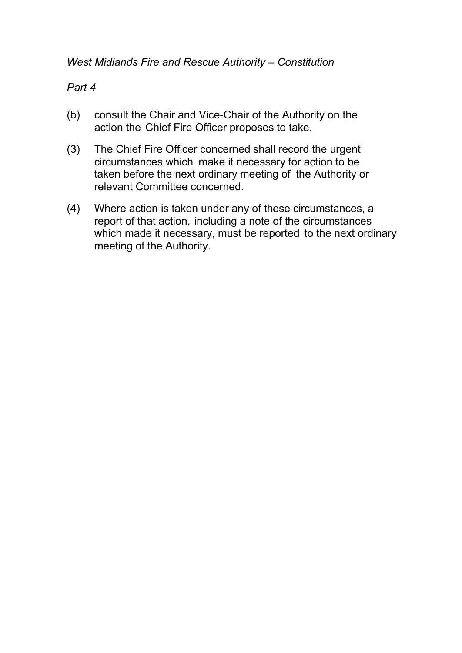## *West Midlands Fire and Rescue Authority – Constitution*

## *Part 4*

- (b) consult the Chair and Vice-Chair of the Authority on the action the Chief Fire Officer proposes to take.
- (3) The Chief Fire Officer concerned shall record the urgent circumstances which make it necessary for action to be taken before the next ordinary meeting of the Authority or relevant Committee concerned.
- (4) Where action is taken under any of these circumstances, a report of that action, including a note of the circumstances which made it necessary, must be reported to the next ordinary meeting of the Authority.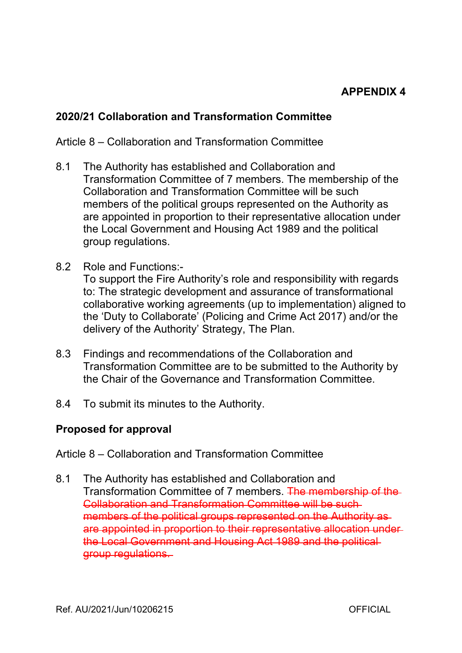### **2020/21 Collaboration and Transformation Committee**

### Article 8 – Collaboration and Transformation Committee

- 8.1 The Authority has established and Collaboration and Transformation Committee of 7 members. The membership of the Collaboration and Transformation Committee will be such members of the political groups represented on the Authority as are appointed in proportion to their representative allocation under the Local Government and Housing Act 1989 and the political group regulations.
- 8.2 Role and Functions: To support the Fire Authority's role and responsibility with regards to: The strategic development and assurance of transformational collaborative working agreements (up to implementation) aligned to the 'Duty to Collaborate' (Policing and Crime Act 2017) and/or the delivery of the Authority' Strategy, The Plan.
- 8.3 Findings and recommendations of the Collaboration and Transformation Committee are to be submitted to the Authority by the Chair of the Governance and Transformation Committee.
- 8.4 To submit its minutes to the Authority.

### **Proposed for approval**

- Article 8 Collaboration and Transformation Committee
- 8.1 The Authority has established and Collaboration and Transformation Committee of 7 members. The membership of the Collaboration and Transformation Committee will be such members of the political groups represented on the Authority as are appointed in proportion to their representative allocation under the Local Government and Housing Act 1989 and the political group regulations.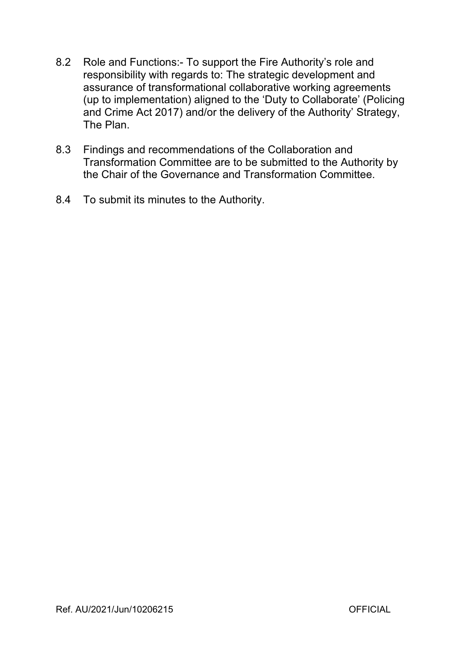- 8.2 Role and Functions: To support the Fire Authority's role and responsibility with regards to: The strategic development and assurance of transformational collaborative working agreements (up to implementation) aligned to the 'Duty to Collaborate' (Policing and Crime Act 2017) and/or the delivery of the Authority' Strategy, The Plan.
- 8.3 Findings and recommendations of the Collaboration and Transformation Committee are to be submitted to the Authority by the Chair of the Governance and Transformation Committee.
- 8.4 To submit its minutes to the Authority.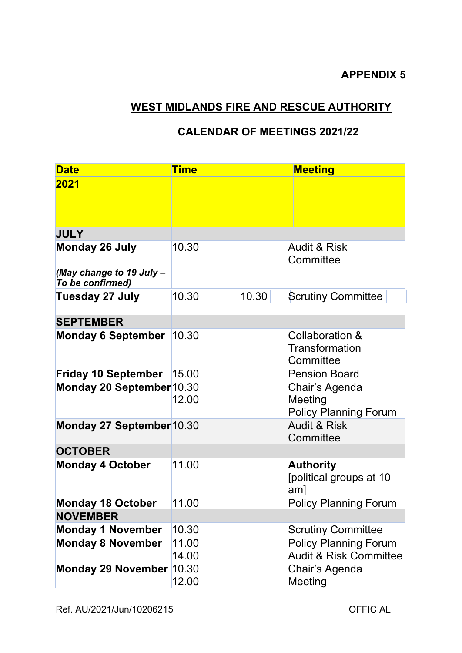## **WEST MIDLANDS FIRE AND RESCUE AUTHORITY**

### **CALENDAR OF MEETINGS 2021/22**

| <b>Date</b>                                  | <b>Time</b>    |       | <b>Meeting</b>                                                    |
|----------------------------------------------|----------------|-------|-------------------------------------------------------------------|
| 2021                                         |                |       |                                                                   |
| <b>JULY</b>                                  |                |       |                                                                   |
| <b>Monday 26 July</b>                        | 10.30          |       | Audit & Risk<br>Committee                                         |
| (May change to 19 July -<br>To be confirmed) |                |       |                                                                   |
| Tuesday 27 July                              | 10.30          | 10.30 | <b>Scrutiny Committee</b>                                         |
| <b>SEPTEMBER</b>                             |                |       |                                                                   |
| <b>Monday 6 September</b>                    | 10.30          |       | Collaboration &<br>Transformation<br>Committee                    |
| <b>Friday 10 September</b>                   | 15.00          |       | <b>Pension Board</b>                                              |
| Monday 20 September 10.30                    | 12.00          |       | Chair's Agenda<br>Meeting<br><b>Policy Planning Forum</b>         |
| Monday 27 September 10.30                    |                |       | <b>Audit &amp; Risk</b><br>Committee                              |
| <b>OCTOBER</b>                               |                |       |                                                                   |
| <b>Monday 4 October</b>                      | 11.00          |       | <b>Authority</b><br>[political groups at 10<br>am]                |
| <b>Monday 18 October</b>                     | 11.00          |       | <b>Policy Planning Forum</b>                                      |
| <b>NOVEMBER</b>                              |                |       |                                                                   |
| <b>Monday 1 November</b>                     | 10.30          |       | <b>Scrutiny Committee</b>                                         |
| <b>Monday 8 November</b>                     | 11.00<br>14.00 |       | <b>Policy Planning Forum</b><br><b>Audit &amp; Risk Committee</b> |
| Monday 29 November 10.30                     | 12.00          |       | Chair's Agenda<br>Meeting                                         |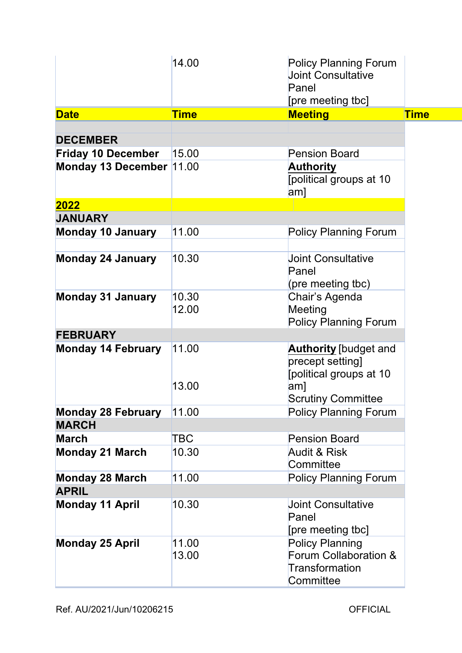| <b>Time</b><br><b>Meeting</b><br><b>Time</b><br><b>Date</b><br><b>DECEMBER</b>                                                    |
|-----------------------------------------------------------------------------------------------------------------------------------|
|                                                                                                                                   |
|                                                                                                                                   |
|                                                                                                                                   |
| 15.00<br><b>Pension Board</b><br><b>Friday 10 December</b>                                                                        |
| Monday 13 December  11.00<br><b>Authority</b><br>[political groups at 10<br>$\mathsf{am}$ ]                                       |
| 2022                                                                                                                              |
| <b>JANUARY</b>                                                                                                                    |
| 11.00<br><b>Policy Planning Forum</b><br><b>Monday 10 January</b>                                                                 |
| 10.30<br><b>Monday 24 January</b><br><b>Joint Consultative</b><br>Panel<br>(pre meeting tbc)                                      |
| 10.30<br><b>Monday 31 January</b><br>Chair's Agenda<br>12.00<br>Meeting<br><b>Policy Planning Forum</b>                           |
| <b>FEBRUARY</b>                                                                                                                   |
| <b>Monday 14 February</b><br>11.00<br><b>Authority</b> [budget and<br>precept setting]<br>[political groups at 10<br>13.00<br>am] |
| <b>Scrutiny Committee</b>                                                                                                         |
| <b>Monday 28 February</b><br><b>Policy Planning Forum</b><br>11.00                                                                |
| <b>MARCH</b>                                                                                                                      |
| TBC<br><b>March</b><br><b>Pension Board</b>                                                                                       |
| <b>Monday 21 March</b><br>10.30<br><b>Audit &amp; Risk</b><br>Committee                                                           |
| 11.00<br><b>Monday 28 March</b><br><b>Policy Planning Forum</b>                                                                   |
| <b>APRIL</b>                                                                                                                      |
| 10.30<br><b>Monday 11 April</b><br><b>Joint Consultative</b><br>Panel<br>[pre meeting tbc]                                        |
| 11.00<br><b>Policy Planning</b><br><b>Monday 25 April</b><br>Forum Collaboration &<br>13.00<br>Transformation<br>Committee        |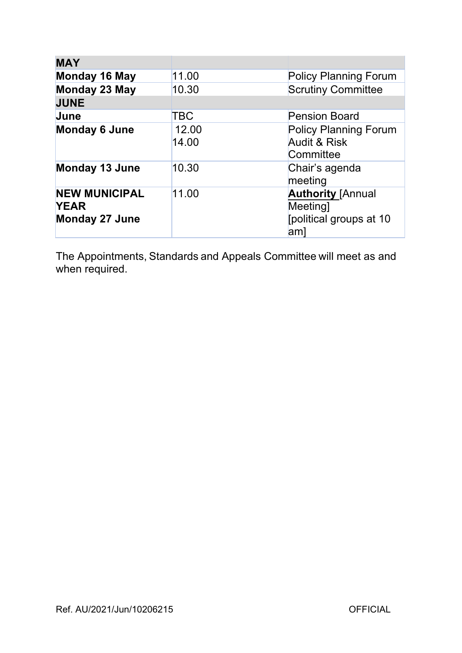| <b>MAY</b>                                                   |                |                                                                              |
|--------------------------------------------------------------|----------------|------------------------------------------------------------------------------|
| Monday 16 May                                                | 11.00          | <b>Policy Planning Forum</b>                                                 |
| <b>Monday 23 May</b>                                         | 10.30          | <b>Scrutiny Committee</b>                                                    |
| <b>JUNE</b>                                                  |                |                                                                              |
| June                                                         | TBC            | <b>Pension Board</b>                                                         |
| <b>Monday 6 June</b>                                         | 12.00<br>14.00 | <b>Policy Planning Forum</b><br><b>Audit &amp; Risk</b><br>Committee         |
| <b>Monday 13 June</b>                                        | 10.30          | Chair's agenda<br>meeting                                                    |
| <b>NEW MUNICIPAL</b><br><b>YEAR</b><br><b>Monday 27 June</b> | 11.00          | <b>Authority [Annual</b><br><b>Meeting</b><br>[political groups at 10<br>am] |

The Appointments, Standards and Appeals Committee will meet as and when required.